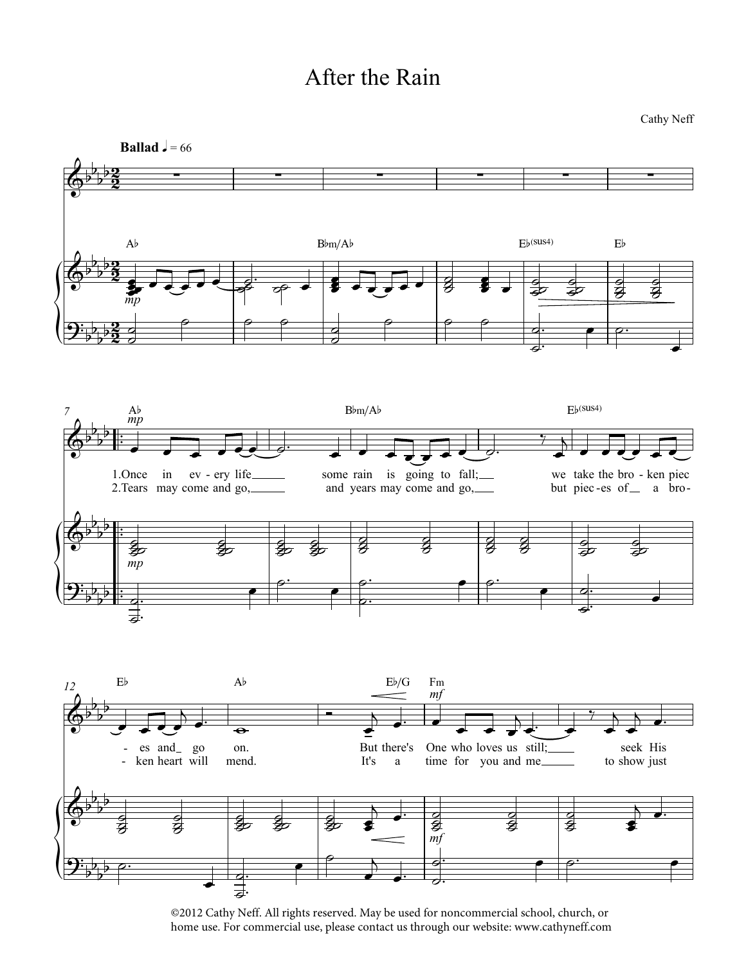## After the Rain

Cathy Neff



©2012 Cathy Neff. All rights reserved. May be used for noncommercial school, church, or home use. For commercial use, please contact us through our website: www.cathyneff.com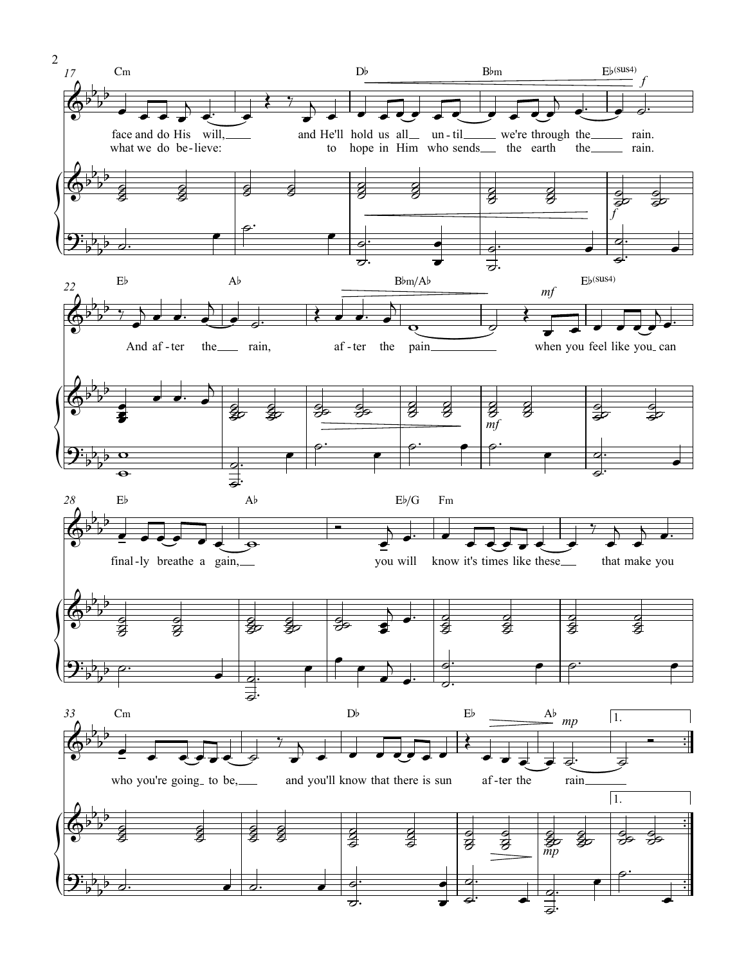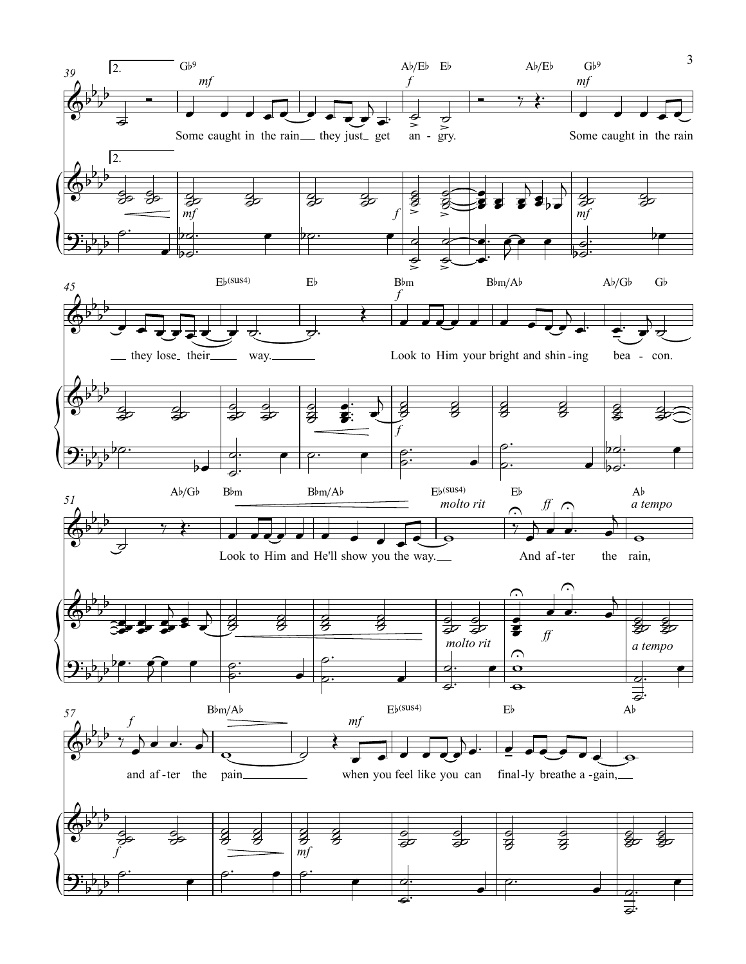